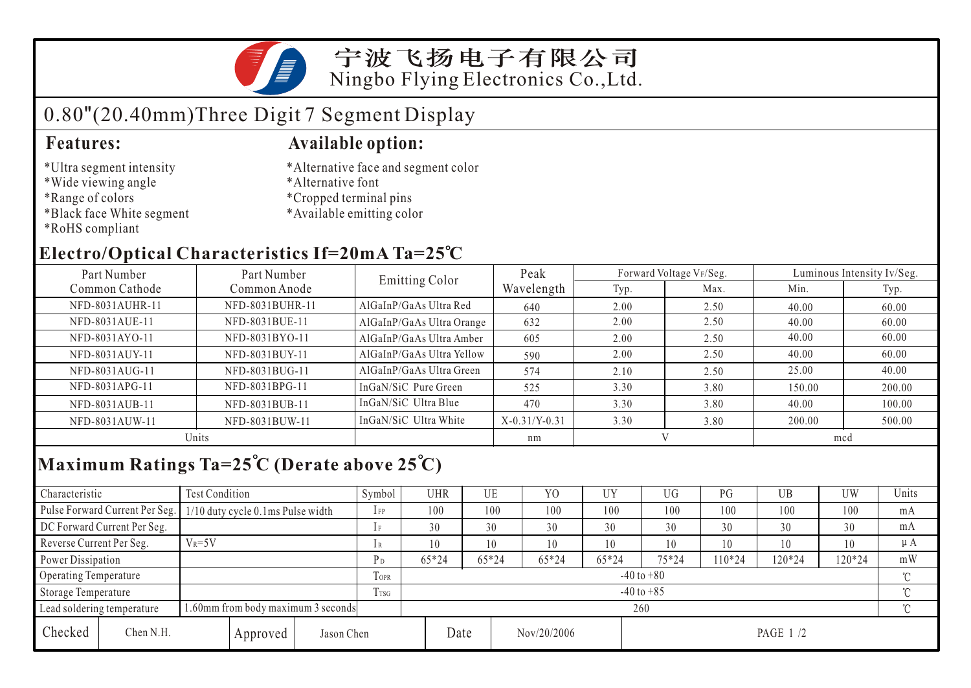

# 0.80"(20.40mm)Three Digit 7 Segment Display

- \*Ultra segment intensity
- \*Wide viewing angle
- \*Range of colors
- \*Black face White segment
- \*RoHS compliant

### **Features: Available option:**

- \*Alternative face and segment color
- \*Alternative font
- \*Cropped terminal pins
- \*Available emitting color

## **Electro/Optical Characteristics If=20mA Ta=25 C**

| Part Number     | Part Number     |                           | Peak            |      | Forward Voltage VF/Seg. | Luminous Intensity Iv/Seg. |        |  |
|-----------------|-----------------|---------------------------|-----------------|------|-------------------------|----------------------------|--------|--|
| Common Cathode  | Common Anode    | <b>Emitting Color</b>     | Wavelength      | Typ. | Max.                    | Min.                       | Typ.   |  |
| NFD-8031AUHR-11 | NFD-8031BUHR-11 | AlGaInP/GaAs Ultra Red    | 640             | 2.00 | 2.50                    | 40.00                      | 60.00  |  |
| NFD-8031AUE-11  | NFD-8031BUE-11  | AlGaInP/GaAs Ultra Orange | 632             | 2.00 | 2.50                    | 40.00                      | 60.00  |  |
| NFD-8031AYO-11  | NFD-8031BYO-11  | AlGaInP/GaAs Ultra Amber  | 605             | 2.00 | 2.50                    | 40.00                      | 60.00  |  |
| NFD-8031AUY-11  | NFD-8031BUY-11  | AlGaInP/GaAs Ultra Yellow | 590             | 2.00 | 2.50                    | 40.00                      | 60.00  |  |
| NFD-8031AUG-11  | NFD-8031BUG-11  | AlGaInP/GaAs Ultra Green  | 574             | 2.10 | 2.50                    | 25.00                      | 40.00  |  |
| NFD-8031APG-11  | NFD-8031BPG-11  | InGaN/SiC Pure Green      | 525             | 3.30 | 3.80                    | 150.00                     | 200.00 |  |
| NFD-8031AUB-11  | NFD-8031BUB-11  | InGaN/SiC Ultra Blue      | 470             | 3.30 | 3.80                    | 40.00                      | 100.00 |  |
| NFD-8031AUW-11  | NFD-8031BUW-11  | InGaN/SiC Ultra White     | $X-0.31/Y-0.31$ | 3.30 | 3.80                    | 200.00                     | 500.00 |  |
| Units           |                 |                           | nm              |      |                         | mcd                        |        |  |

# **Maximum Ratings Ta=25 C (Derate above 25 C)**

| Characteristic                                                   |                                | <b>Test Condition</b>             |          |                | Symbol         | UHR   |         | UE          | Y <sub>O</sub> | UY    | UG        | PG     | UB       | UW  | Units |
|------------------------------------------------------------------|--------------------------------|-----------------------------------|----------|----------------|----------------|-------|---------|-------------|----------------|-------|-----------|--------|----------|-----|-------|
|                                                                  | Pulse Forward Current Per Seg. | 1/10 duty cycle 0.1ms Pulse width |          |                | $1$ FP         | 100   |         | 100         | 100            | 100   | 100       | 100    | 100      | 100 | mA    |
|                                                                  | DC Forward Current Per Seg.    |                                   |          |                |                | 30    |         | 30          | 30             | 30    | 30        | 30     | 30       | 30  | mA    |
| Reverse Current Per Seg.                                         |                                | $V_R = 5V$                        |          |                | 1 R            | 10    |         | 10          | 10             | 10    | 10        | 10     | 10       | 10  | μA    |
| Power Dissipation                                                |                                |                                   | $P_D$    | $65*24$        |                | 65*24 | $65*24$ | 65*24       | $75*24$        | 10*24 | 120*24    | 120*24 | mW       |     |       |
| <b>Operating Temperature</b>                                     |                                |                                   |          | <b>TOPR</b>    | $-40$ to $+80$ |       |         |             |                |       |           |        |          | ొ   |       |
| Storage Temperature                                              |                                |                                   | Trsg     | $-40$ to $+85$ |                |       |         |             |                |       |           |        | $\gamma$ |     |       |
| 1.60mm from body maximum 3 seconds<br>Lead soldering temperature |                                |                                   |          |                | 260            |       |         |             |                |       |           |        |          |     |       |
| Checked                                                          | Chen N.H.                      |                                   | Approved | Jason Chen     |                |       | Date    | Nov/20/2006 |                |       | PAGE 1 /2 |        |          |     |       |